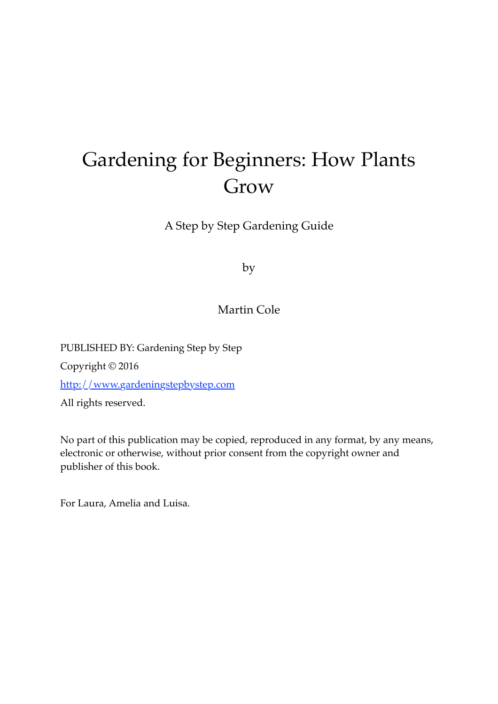# Gardening for Beginners: How Plants Grow

A Step by Step Gardening Guide

by

#### Martin Cole

PUBLISHED BY: Gardening Step by Step Copyright © 2016 [http://www.gardeningstepbystep.com](%22ht) All rights reserved.

No part of this publication may be copied, reproduced in any format, by any means, electronic or otherwise, without prior consent from the copyright owner and publisher of this book.

For Laura, Amelia and Luisa.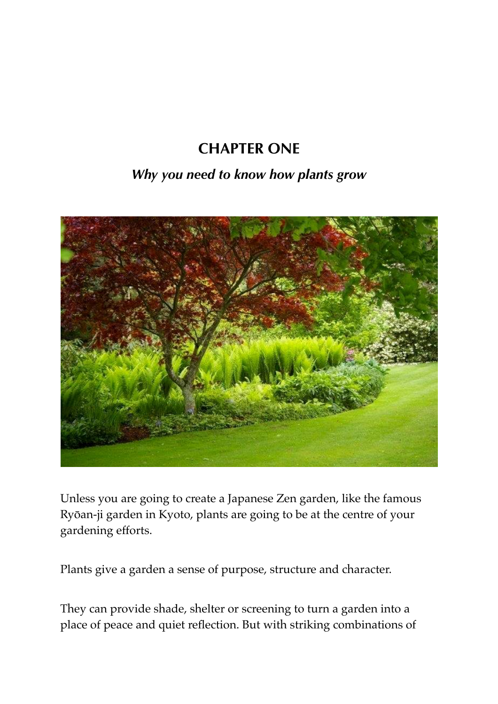# **CHAPTER ONE**

### *Why you need to know how plants grow*



Unless you are going to create a Japanese Zen garden, like the famous Ryōan-ji garden in Kyoto, plants are going to be at the centre of your gardening efforts.

Plants give a garden a sense of purpose, structure and character.

They can provide shade, shelter or screening to turn a garden into a place of peace and quiet reflection. But with striking combinations of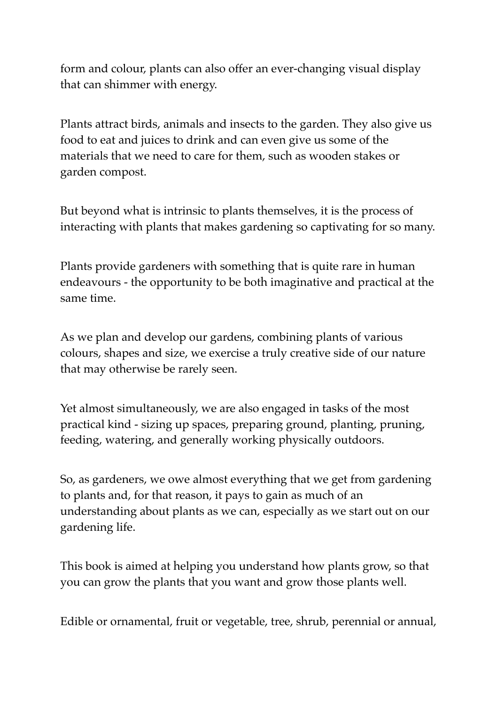form and colour, plants can also offer an ever-changing visual display that can shimmer with energy.

Plants attract birds, animals and insects to the garden. They also give us food to eat and juices to drink and can even give us some of the materials that we need to care for them, such as wooden stakes or garden compost.

But beyond what is intrinsic to plants themselves, it is the process of interacting with plants that makes gardening so captivating for so many.

Plants provide gardeners with something that is quite rare in human endeavours - the opportunity to be both imaginative and practical at the same time.

As we plan and develop our gardens, combining plants of various colours, shapes and size, we exercise a truly creative side of our nature that may otherwise be rarely seen.

Yet almost simultaneously, we are also engaged in tasks of the most practical kind - sizing up spaces, preparing ground, planting, pruning, feeding, watering, and generally working physically outdoors.

So, as gardeners, we owe almost everything that we get from gardening to plants and, for that reason, it pays to gain as much of an understanding about plants as we can, especially as we start out on our gardening life.

This book is aimed at helping you understand how plants grow, so that you can grow the plants that you want and grow those plants well.

Edible or ornamental, fruit or vegetable, tree, shrub, perennial or annual,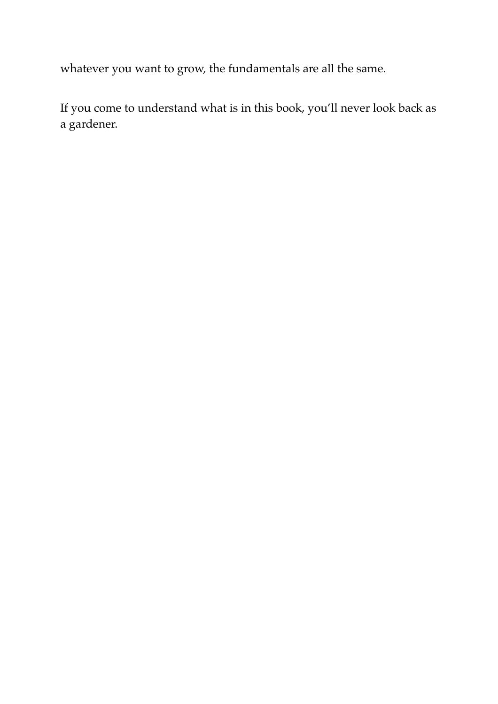whatever you want to grow, the fundamentals are all the same.

If you come to understand what is in this book, you'll never look back as a gardener.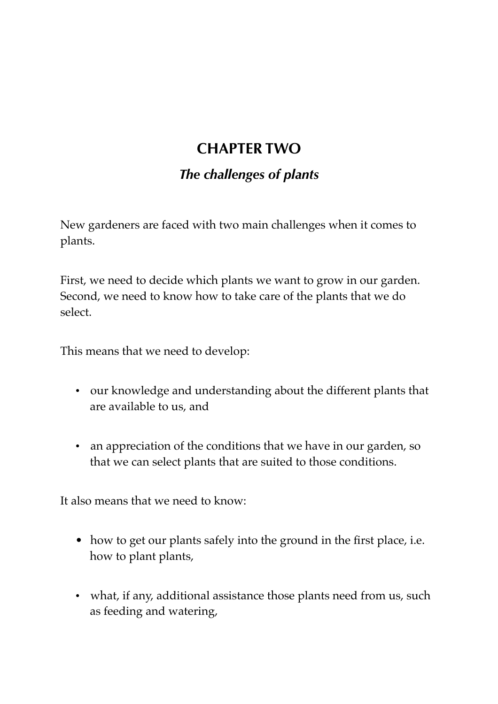# **CHAPTER TWO**

### *The challenges of plants*

New gardeners are faced with two main challenges when it comes to plants.

First, we need to decide which plants we want to grow in our garden. Second, we need to know how to take care of the plants that we do select.

This means that we need to develop:

- our knowledge and understanding about the different plants that are available to us, and
- an appreciation of the conditions that we have in our garden, so that we can select plants that are suited to those conditions.

It also means that we need to know:

- how to get our plants safely into the ground in the first place, i.e. how to plant plants,
- what, if any, additional assistance those plants need from us, such as feeding and watering,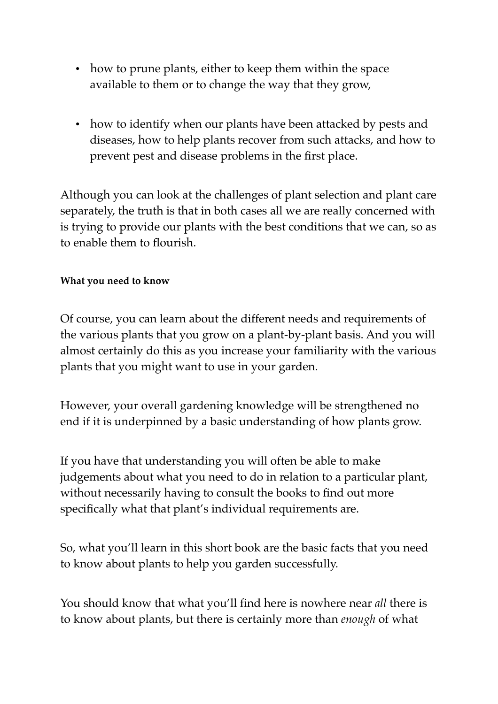- how to prune plants, either to keep them within the space available to them or to change the way that they grow,
- how to identify when our plants have been attacked by pests and diseases, how to help plants recover from such attacks, and how to prevent pest and disease problems in the first place.

Although you can look at the challenges of plant selection and plant care separately, the truth is that in both cases all we are really concerned with is trying to provide our plants with the best conditions that we can, so as to enable them to flourish.

#### **What you need to know**

Of course, you can learn about the different needs and requirements of the various plants that you grow on a plant-by-plant basis. And you will almost certainly do this as you increase your familiarity with the various plants that you might want to use in your garden.

However, your overall gardening knowledge will be strengthened no end if it is underpinned by a basic understanding of how plants grow.

If you have that understanding you will often be able to make judgements about what you need to do in relation to a particular plant, without necessarily having to consult the books to find out more specifically what that plant's individual requirements are.

So, what you'll learn in this short book are the basic facts that you need to know about plants to help you garden successfully.

You should know that what you'll find here is nowhere near *all* there is to know about plants, but there is certainly more than *enough* of what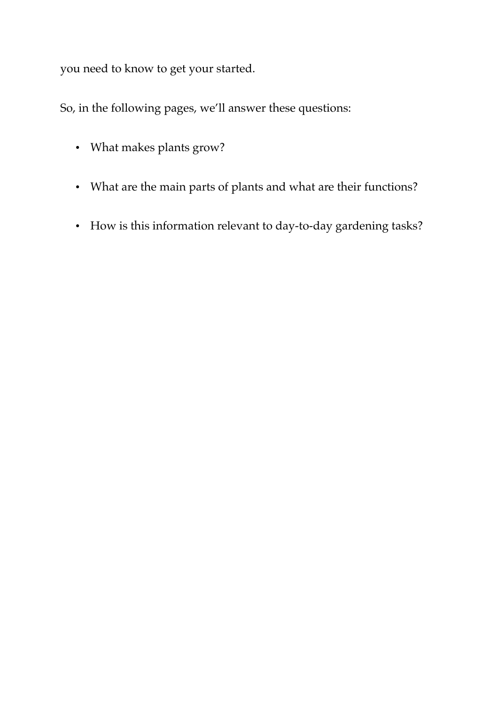you need to know to get your started.

So, in the following pages, we'll answer these questions:

- What makes plants grow?
- What are the main parts of plants and what are their functions?
- How is this information relevant to day-to-day gardening tasks?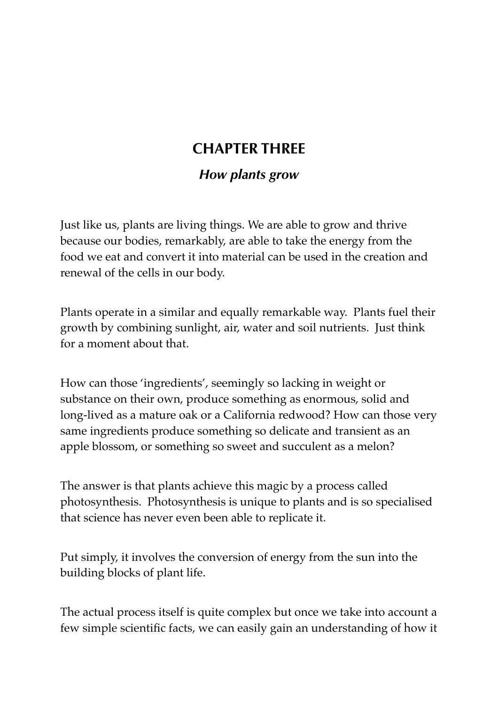# **CHAPTER THREE**

### *How plants grow*

Just like us, plants are living things. We are able to grow and thrive because our bodies, remarkably, are able to take the energy from the food we eat and convert it into material can be used in the creation and renewal of the cells in our body.

Plants operate in a similar and equally remarkable way. Plants fuel their growth by combining sunlight, air, water and soil nutrients. Just think for a moment about that.

How can those 'ingredients', seemingly so lacking in weight or substance on their own, produce something as enormous, solid and long-lived as a mature oak or a California redwood? How can those very same ingredients produce something so delicate and transient as an apple blossom, or something so sweet and succulent as a melon?

The answer is that plants achieve this magic by a process called photosynthesis. Photosynthesis is unique to plants and is so specialised that science has never even been able to replicate it.

Put simply, it involves the conversion of energy from the sun into the building blocks of plant life.

The actual process itself is quite complex but once we take into account a few simple scientific facts, we can easily gain an understanding of how it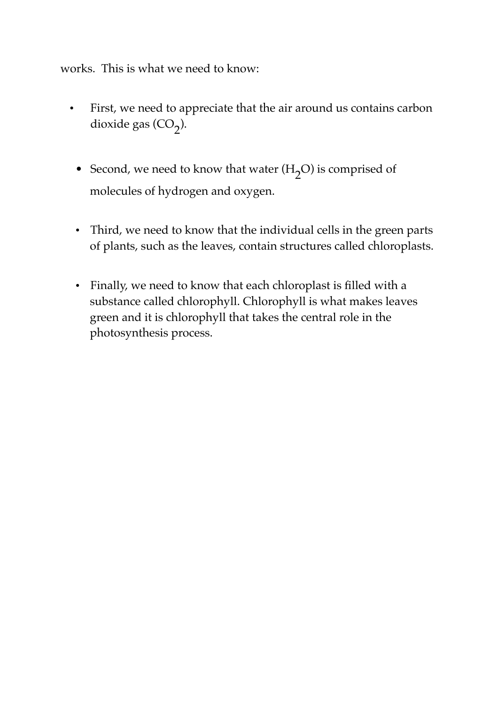works. This is what we need to know:

- First, we need to appreciate that the air around us contains carbon dioxide gas (CO<sub>2</sub>).
	- Second, we need to know that water  $(H_2O)$  is comprised of molecules of hydrogen and oxygen.
	- Third, we need to know that the individual cells in the green parts of plants, such as the leaves, contain structures called chloroplasts.
	- Finally, we need to know that each chloroplast is filled with a substance called chlorophyll. Chlorophyll is what makes leaves green and it is chlorophyll that takes the central role in the photosynthesis process.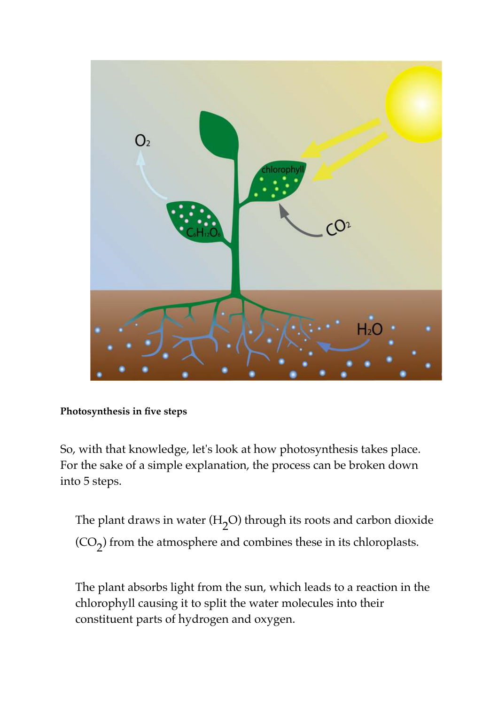

**Photosynthesis in five steps**

So, with that knowledge, let's look at how photosynthesis takes place. For the sake of a simple explanation, the process can be broken down into 5 steps.

The plant draws in water (H<sub>2</sub>O) through its roots and carbon dioxide  $({\rm CO}_2)$  from the atmosphere and combines these in its chloroplasts.

The plant absorbs light from the sun, which leads to a reaction in the chlorophyll causing it to split the water molecules into their constituent parts of hydrogen and oxygen.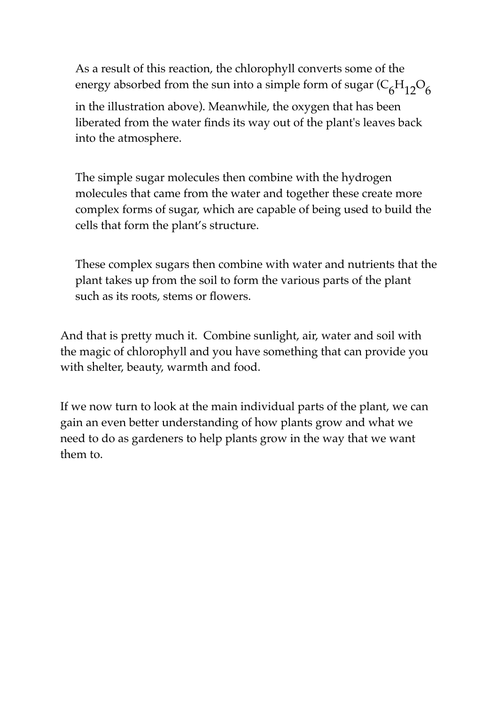As a result of this reaction, the chlorophyll converts some of the energy absorbed from the sun into a simple form of sugar ( $\mathrm{C_6H_{12}O_6}$ in the illustration above). Meanwhile, the oxygen that has been

liberated from the water finds its way out of the plant's leaves back into the atmosphere.

The simple sugar molecules then combine with the hydrogen molecules that came from the water and together these create more complex forms of sugar, which are capable of being used to build the cells that form the plant's structure.

These complex sugars then combine with water and nutrients that the plant takes up from the soil to form the various parts of the plant such as its roots, stems or flowers.

And that is pretty much it. Combine sunlight, air, water and soil with the magic of chlorophyll and you have something that can provide you with shelter, beauty, warmth and food.

If we now turn to look at the main individual parts of the plant, we can gain an even better understanding of how plants grow and what we need to do as gardeners to help plants grow in the way that we want them to.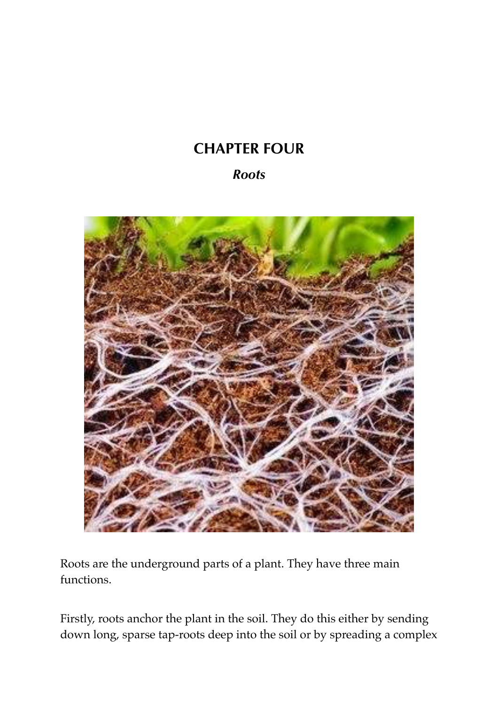# **CHAPTER FOUR**

### *Roots*



Roots are the underground parts of a plant. They have three main functions.

Firstly, roots anchor the plant in the soil. They do this either by sending down long, sparse tap-roots deep into the soil or by spreading a complex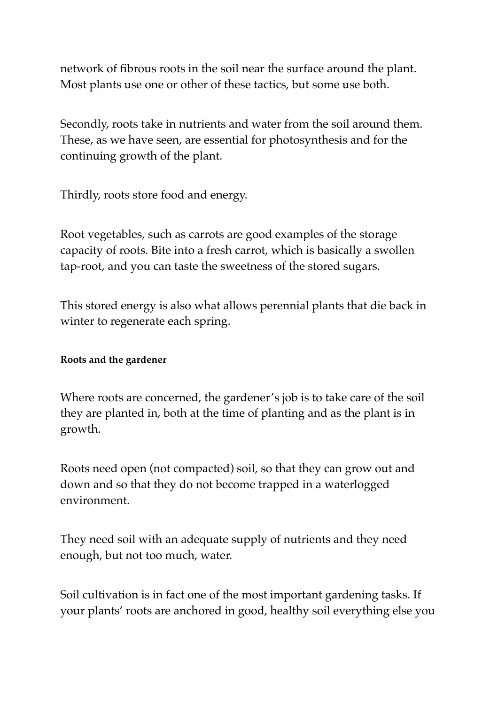network of fibrous roots in the soil near the surface around the plant. Most plants use one or other of these tactics, but some use both.

Secondly, roots take in nutrients and water from the soil around them. These, as we have seen, are essential for photosynthesis and for the continuing growth of the plant.

Thirdly, roots store food and energy.

Root vegetables, such as carrots are good examples of the storage capacity of roots. Bite into a fresh carrot, which is basically a swollen tap-root, and you can taste the sweetness of the stored sugars.

This stored energy is also what allows perennial plants that die back in winter to regenerate each spring.

#### **Roots and the gardener**

Where roots are concerned, the gardener's job is to take care of the soil they are planted in, both at the time of planting and as the plant is in growth.

Roots need open (not compacted) soil, so that they can grow out and down and so that they do not become trapped in a waterlogged environment.

They need soil with an adequate supply of nutrients and they need enough, but not too much, water.

Soil cultivation is in fact one of the most important gardening tasks. If your plants' roots are anchored in good, healthy soil everything else you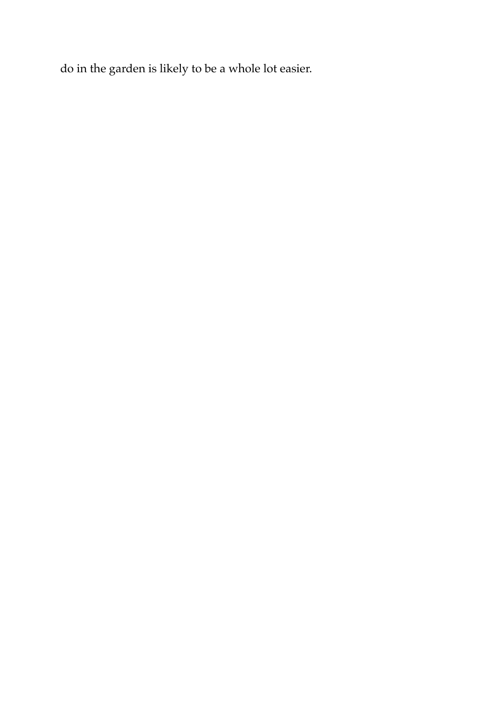do in the garden is likely to be a whole lot easier.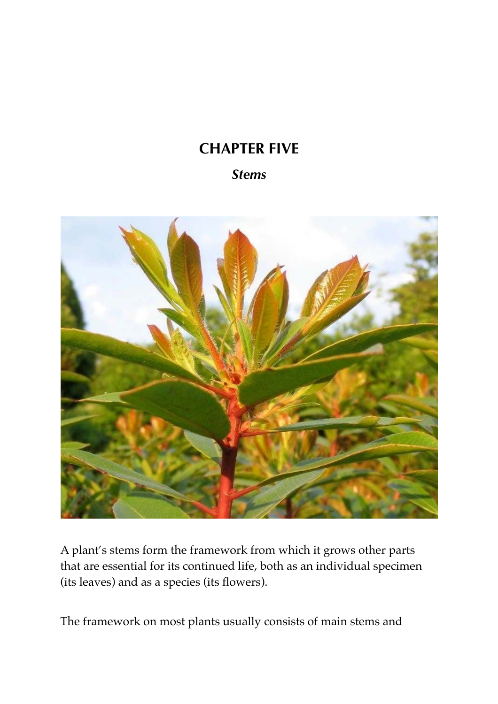# **CHAPTER FIVE**

### *Stems*



A plant's stems form the framework from which it grows other parts that are essential for its continued life, both as an individual specimen (its leaves) and as a species (its flowers).

The framework on most plants usually consists of main stems and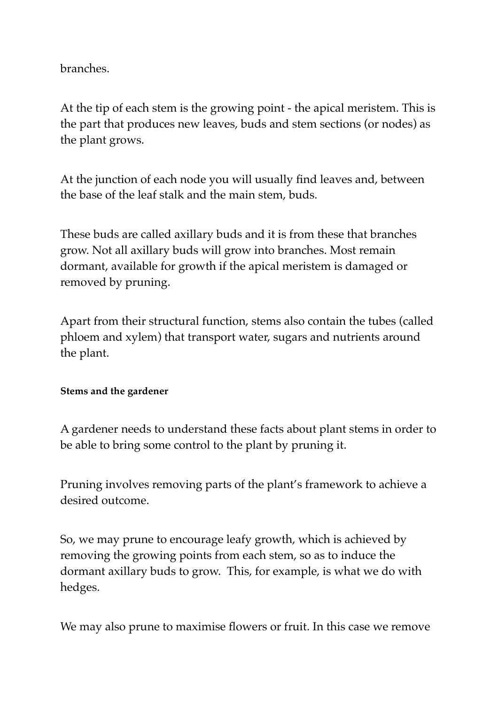branches.

At the tip of each stem is the growing point - the apical meristem. This is the part that produces new leaves, buds and stem sections (or nodes) as the plant grows.

At the junction of each node you will usually find leaves and, between the base of the leaf stalk and the main stem, buds.

These buds are called axillary buds and it is from these that branches grow. Not all axillary buds will grow into branches. Most remain dormant, available for growth if the apical meristem is damaged or removed by pruning.

Apart from their structural function, stems also contain the tubes (called phloem and xylem) that transport water, sugars and nutrients around the plant.

#### **Stems and the gardener**

A gardener needs to understand these facts about plant stems in order to be able to bring some control to the plant by pruning it.

Pruning involves removing parts of the plant's framework to achieve a desired outcome.

So, we may prune to encourage leafy growth, which is achieved by removing the growing points from each stem, so as to induce the dormant axillary buds to grow. This, for example, is what we do with hedges.

We may also prune to maximise flowers or fruit. In this case we remove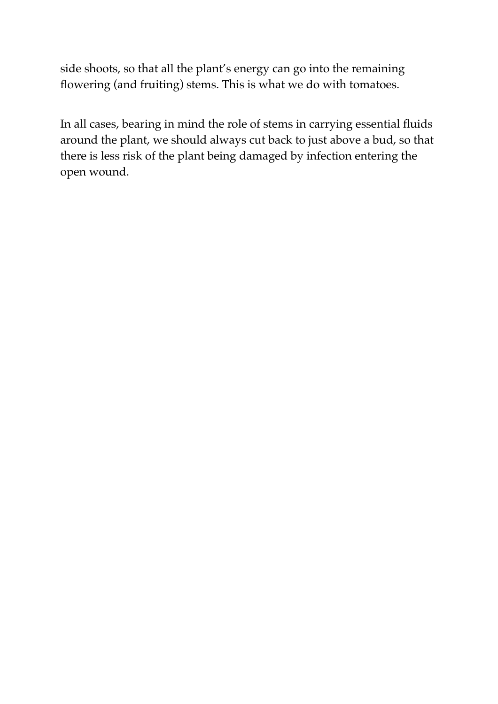side shoots, so that all the plant's energy can go into the remaining flowering (and fruiting) stems. This is what we do with tomatoes.

In all cases, bearing in mind the role of stems in carrying essential fluids around the plant, we should always cut back to just above a bud, so that there is less risk of the plant being damaged by infection entering the open wound.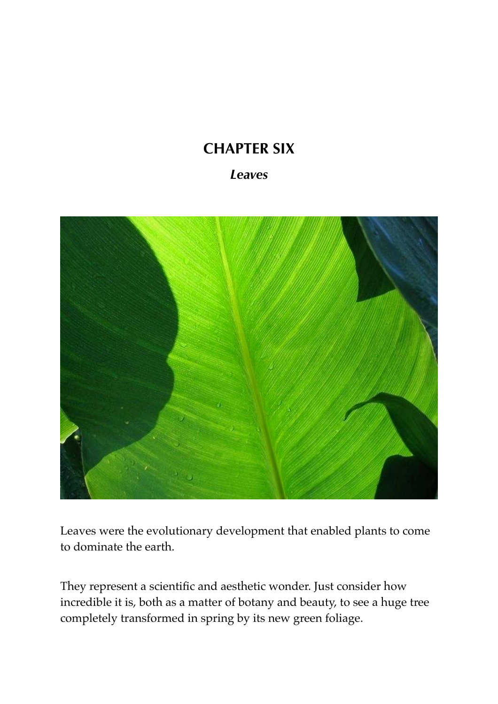# **CHAPTER SIX**

### *Leaves*



Leaves were the evolutionary development that enabled plants to come to dominate the earth.

They represent a scientific and aesthetic wonder. Just consider how incredible it is, both as a matter of botany and beauty, to see a huge tree completely transformed in spring by its new green foliage.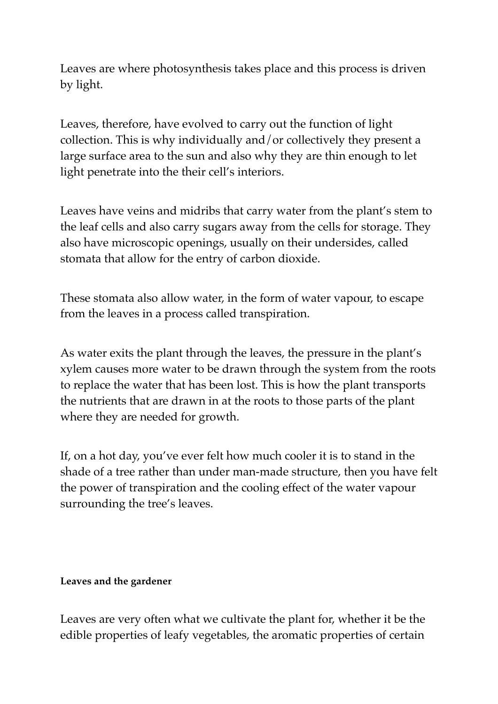Leaves are where photosynthesis takes place and this process is driven by light.

Leaves, therefore, have evolved to carry out the function of light collection. This is why individually and/or collectively they present a large surface area to the sun and also why they are thin enough to let light penetrate into the their cell's interiors.

Leaves have veins and midribs that carry water from the plant's stem to the leaf cells and also carry sugars away from the cells for storage. They also have microscopic openings, usually on their undersides, called stomata that allow for the entry of carbon dioxide.

These stomata also allow water, in the form of water vapour, to escape from the leaves in a process called transpiration.

As water exits the plant through the leaves, the pressure in the plant's xylem causes more water to be drawn through the system from the roots to replace the water that has been lost. This is how the plant transports the nutrients that are drawn in at the roots to those parts of the plant where they are needed for growth.

If, on a hot day, you've ever felt how much cooler it is to stand in the shade of a tree rather than under man-made structure, then you have felt the power of transpiration and the cooling effect of the water vapour surrounding the tree's leaves.

#### **Leaves and the gardener**

Leaves are very often what we cultivate the plant for, whether it be the edible properties of leafy vegetables, the aromatic properties of certain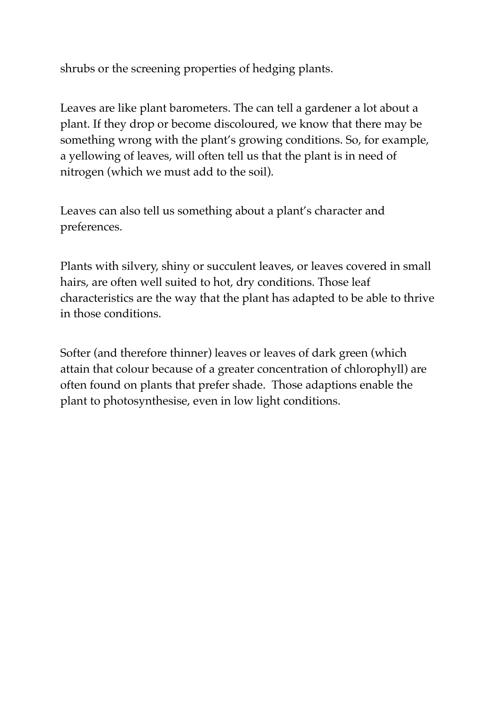shrubs or the screening properties of hedging plants.

Leaves are like plant barometers. The can tell a gardener a lot about a plant. If they drop or become discoloured, we know that there may be something wrong with the plant's growing conditions. So, for example, a yellowing of leaves, will often tell us that the plant is in need of nitrogen (which we must add to the soil).

Leaves can also tell us something about a plant's character and preferences.

Plants with silvery, shiny or succulent leaves, or leaves covered in small hairs, are often well suited to hot, dry conditions. Those leaf characteristics are the way that the plant has adapted to be able to thrive in those conditions.

Softer (and therefore thinner) leaves or leaves of dark green (which attain that colour because of a greater concentration of chlorophyll) are often found on plants that prefer shade. Those adaptions enable the plant to photosynthesise, even in low light conditions.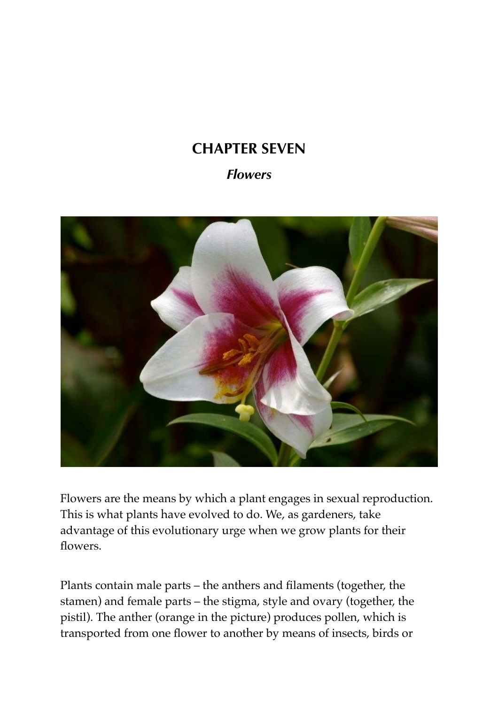# **CHAPTER SEVEN**

### *Flowers*



Flowers are the means by which a plant engages in sexual reproduction. This is what plants have evolved to do. We, as gardeners, take advantage of this evolutionary urge when we grow plants for their flowers.

Plants contain male parts – the anthers and filaments (together, the stamen) and female parts – the stigma, style and ovary (together, the pistil). The anther (orange in the picture) produces pollen, which is transported from one flower to another by means of insects, birds or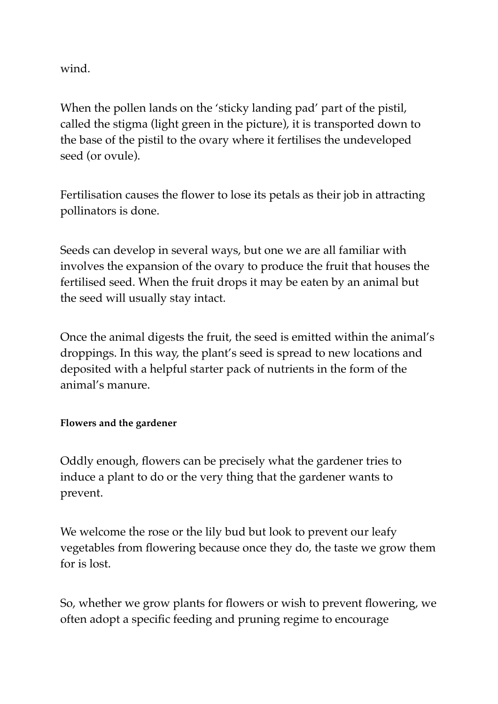wind.

When the pollen lands on the 'sticky landing pad' part of the pistil, called the stigma (light green in the picture), it is transported down to the base of the pistil to the ovary where it fertilises the undeveloped seed (or ovule).

Fertilisation causes the flower to lose its petals as their job in attracting pollinators is done.

Seeds can develop in several ways, but one we are all familiar with involves the expansion of the ovary to produce the fruit that houses the fertilised seed. When the fruit drops it may be eaten by an animal but the seed will usually stay intact.

Once the animal digests the fruit, the seed is emitted within the animal's droppings. In this way, the plant's seed is spread to new locations and deposited with a helpful starter pack of nutrients in the form of the animal's manure.

#### **Flowers and the gardener**

Oddly enough, flowers can be precisely what the gardener tries to induce a plant to do or the very thing that the gardener wants to prevent.

We welcome the rose or the lily bud but look to prevent our leafy vegetables from flowering because once they do, the taste we grow them for is lost.

So, whether we grow plants for flowers or wish to prevent flowering, we often adopt a specific feeding and pruning regime to encourage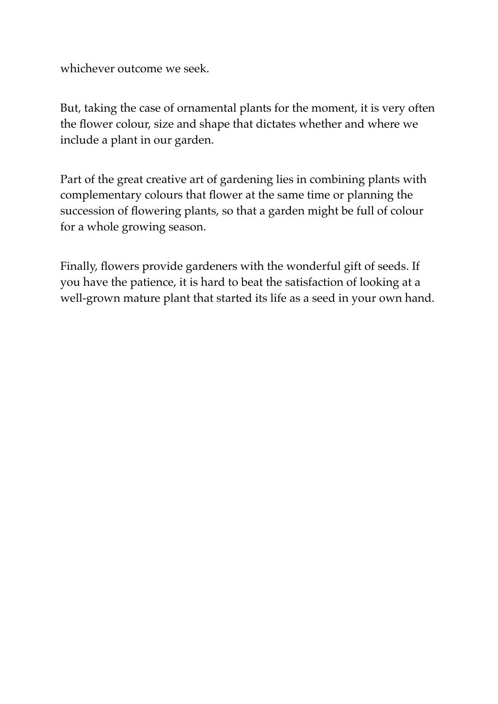whichever outcome we seek.

But, taking the case of ornamental plants for the moment, it is very often the flower colour, size and shape that dictates whether and where we include a plant in our garden.

Part of the great creative art of gardening lies in combining plants with complementary colours that flower at the same time or planning the succession of flowering plants, so that a garden might be full of colour for a whole growing season.

Finally, flowers provide gardeners with the wonderful gift of seeds. If you have the patience, it is hard to beat the satisfaction of looking at a well-grown mature plant that started its life as a seed in your own hand.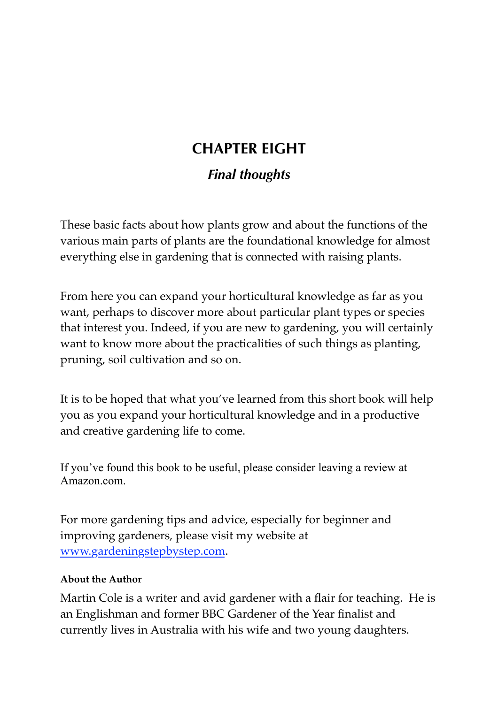# **CHAPTER EIGHT**

### *Final thoughts*

These basic facts about how plants grow and about the functions of the various main parts of plants are the foundational knowledge for almost everything else in gardening that is connected with raising plants.

From here you can expand your horticultural knowledge as far as you want, perhaps to discover more about particular plant types or species that interest you. Indeed, if you are new to gardening, you will certainly want to know more about the practicalities of such things as planting, pruning, soil cultivation and so on.

It is to be hoped that what you've learned from this short book will help you as you expand your horticultural knowledge and in a productive and creative gardening life to come.

If you've found this book to be useful, please consider leaving a review at Amazon.com.

For more gardening tips and advice, especially for beginner and improving gardeners, please visit my website at [www.gardeningstepbystep.com](http://www.gardeningstepbystep.com).

#### **About the Author**

Martin Cole is a writer and avid gardener with a flair for teaching. He is an Englishman and former BBC Gardener of the Year finalist and currently lives in Australia with his wife and two young daughters.